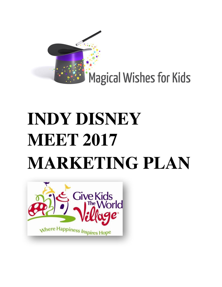

# **INDY DISNEY MEET 2017 MARKETING PLAN**

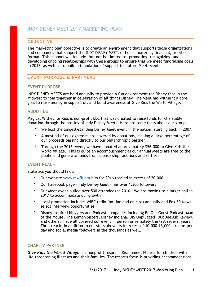# **OBJECTIVE**

The marketing plan objective is to create an environment that supports those organizations and companies that support the INDY DISNEY MEET, either in material, financial, or other format. This support will include, but not be limited to, promoting, recognizing, and developing ongoing relationships with these groups to ensure that we meet fundraising goals in 2017, as well as to build a foundation of support for future Meet events.

# **EVENT PURPOSE & PARTNERS**

# **EVENT PURPOSE**

INDY DISNEY MEETS are held annually to provide a fun environment for Disney fans in the Midwest to join together in celebration of all things Disney. The Meet has within it a core goal to raise money in support of, and build awareness of Give Kids the World Village.

# **ABOUT US**

Magical Wishes for Kids is non-profit LLC that was created to raise funds for charitable donation through the hosting of Indy Disney Meets. Here are some facts about our group:

- We host the longest-standing Disney Meet event in the nation, starting back in 2007.
- Almost all of our expenses are covered by donations, making a large percentage of our proceeds passing directly to our philanthropic partner.
- Through the 2016 event, we have donated approximately \$56,000 to Give Kids the World Village. This is quite an accomplishment as our annual Meets are free to the public and generate funds from sponsorship, auctions and raffles.

# **EVENT REACH**

Statistics you should know:

- Our website [www.mwfk.org](http://www.mwfk.org) hits for 2016 totaled in excess of 20,000
- Our Facebook page Indy Disney Meet has over 1,300 followers
- Our Meet event pulled over 500 attendees in 2016. We are moving to a larger hall in 2017 to accommodate our growth
- Local promotion includes WIBC radio (on-line and on-site) annually and Fox 59 News select interview opportunities
- Disney-inspired bloggers and Podcast companies including Be Our Guest Podcast, Man of the Mouse, The Lemon Sisters, Disney Indiana, DIS Unplugged, DubDeeDub Review, and others, have all covered our event in person or remotely the last several years. Their reach, in addition to our stats above, is in excess of 10,000-15,000 streams per day and social media followers in the thousands as well.

## **CHARITY PARTNER**

*Give Kids the World Village* is a nonprofit resort in Kissimmee, Florida for children with life-threatening illnesses and their families. The resort's focus is providing accommodations,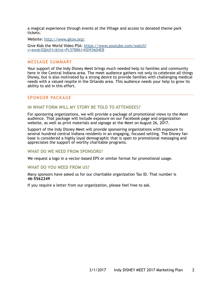a magical experience through events at the Village and access to donated theme park tickets.

Website:<http://www.gktw.org/>

[Give Kids the World Video PSA: https://www.youtube.com/watch?](https://www.youtube.com/watch?v=awsb3QbUI1c&list=PL57BB6145D93604EB) v=awsb3QbUI1c&list=PL57BB6145D93604EB

# **MESSAGE SUMMARY**

Your support of the Indy Disney Meet brings much needed help to families and community here in the Central Indiana area. The meet audience gathers not only to celebrate all things Disney, but is also motivated by a strong desire to provide families with challenging medical needs with a valued respite in the Orlando area. This audience needs your help to grow its ability to aid in this effort.

## **SPONSOR PACKAGE**

#### **IN WHAT FORM WILL MY STORY BE TOLD TO ATTENDEES?**

For sponsoring organizations, we will provide a package of promotional views to the Meet audience. That package will include exposure on our Facebook page and organization website, as well as print materials and signage at the Meet on August 26, 2017.

Support of the Indy Disney Meet will provide sponsoring organizations with exposure to several hundred central Indiana residents in an engaging, focused setting. The Disney fan base is considered a highly loyal demographic that is open to promotional messaging and appreciates the support of worthy charitable programs.

#### **WHAT DO WE NEED FROM SPONSORS?**

We request a logo in a vector-based EPS or similar format for promotional usage.

#### **WHAT DO YOU NEED FROM US?**

Many sponsors have asked us for our charitable organization Tax ID. That number is **46-5562249** 

If you require a letter from our organization, please feel free to ask.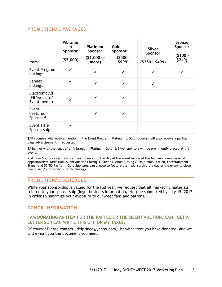# **PROMOTIONAL PACKAGES**

| Item                                          | <b>Vibraniu</b><br>m<br>Sponsor<br>(55,000) | Platinum<br>Sponsor<br>(\$1,000 or<br>more) | Gold<br>Sponsor<br>$(5500 -$<br>\$999) | <b>Silver</b><br>Sponsor<br>$(5250 - 5499)$ | <b>Bronze</b><br>Sponsor<br>$(5100 -$<br>\$249) |
|-----------------------------------------------|---------------------------------------------|---------------------------------------------|----------------------------------------|---------------------------------------------|-------------------------------------------------|
| Event Program<br>Listing†                     | $\checkmark$                                | √                                           | $\checkmark$                           | √                                           | √                                               |
| <b>Banner</b><br>Listing#                     | ✓                                           | $\checkmark$                                | $\checkmark$                           | ✓                                           |                                                 |
| Electronic Ad<br>(FB/website/<br>Event media) |                                             | √                                           | √                                      |                                             |                                                 |
| Event<br>Featured<br>Sponsor $\epsilon$       |                                             | √                                           | √                                      |                                             |                                                 |
| <b>Event Title</b><br>Sponsorship             | √                                           |                                             |                                        |                                             |                                                 |

**†**All sponsors will receive mention in the Event Program. Platinum & Gold sponsors will also receive a partial page advertisement if requested.

**‡**A banner with the logos of all Vibranium, Platinum, Gold, & Silver sponsors will be prominently placed at the event.

**Platinum Sponsors** can feature their sponsorship the day of the event in one of the following one-of-a-kind opportunities: Kids' Hall, Silent Auction Closing 1, Silent Auction Closing 2, Dole Whip Station, Entertainment Stage, and 50/50 Raffle. **Gold Sponsors** can choose to feature their sponsorship the day of the event to close one of six (6) power-hour raffle closings.

# **PROMOTIONAL SCHEDULE**

While your sponsorship is valued for the full year, we request that all marketing materials related to your sponsorship (logo, business information, etc.) be submitted by July 15, 2017, in order to maximize your exposure to our Meet fans and patrons.

## **DONOR INFORMATION**

## **I AM DONATING AN ITEM FOR THE RAFFLE OR THE SILENT AUCTION. CAN I GET A LETTER SO I CAN WRITE THIS OFF ON MY TAXES?**

Of course! Please contact kdelprince@yahoo.com, list what item you have donated, and we will e-mail you the document you need.